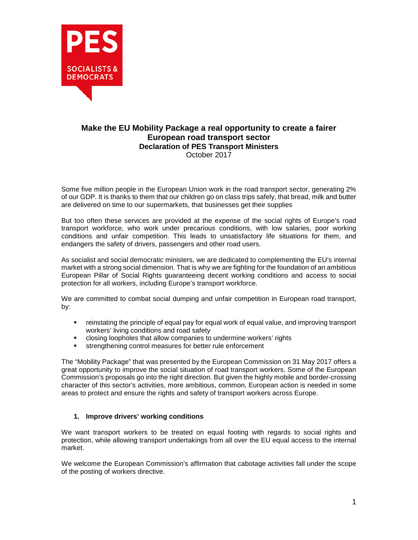

## **Make the EU Mobility Package a real opportunity to create a fairer European road transport sector Declaration of PES Transport Ministers** October 2017

Some five million people in the European Union work in the road transport sector, generating 2% of our GDP. It is thanks to them that our children go on class trips safely, that bread, milk and butter are delivered on time to our supermarkets, that businesses get their supplies

But too often these services are provided at the expense of the social rights of Europe's road transport workforce, who work under precarious conditions, with low salaries, poor working conditions and unfair competition. This leads to unsatisfactory life situations for them, and endangers the safety of drivers, passengers and other road users.

As socialist and social democratic ministers, we are dedicated to complementing the EU's internal market with a strong social dimension. That is why we are fighting for the foundation of an ambitious European Pillar of Social Rights guaranteeing decent working conditions and access to social protection for all workers, including Europe's transport workforce.

We are committed to combat social dumping and unfair competition in European road transport, by:

- reinstating the principle of equal pay for equal work of equal value, and improving transport workers' living conditions and road safety
- closing loopholes that allow companies to undermine workers' rights
- strengthening control measures for better rule enforcement

The "Mobility Package" that was presented by the European Commission on 31 May 2017 offers a great opportunity to improve the social situation of road transport workers. Some of the European Commission's proposals go into the right direction. But given the highly mobile and border-crossing character of this sector's activities, more ambitious, common, European action is needed in some areas to protect and ensure the rights and safety of transport workers across Europe.

## **1. Improve drivers' working conditions**

We want transport workers to be treated on equal footing with regards to social rights and protection, while allowing transport undertakings from all over the EU equal access to the internal market.

We welcome the European Commission's affirmation that cabotage activities fall under the scope of the posting of workers directive.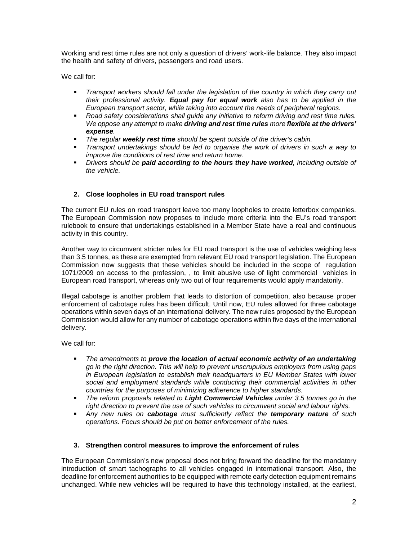Working and rest time rules are not only a question of drivers' work-life balance. They also impact the health and safety of drivers, passengers and road users.

We call for:

- **Transport workers should fall under the legislation of the country in which they carry out** *their professional activity. Equal pay for equal work also has to be applied in the European transport sector, while taking into account the needs of peripheral regions.*
- *Road safety considerations shall guide any initiative to reform driving and rest time rules. We oppose any attempt to make driving and rest time rules more flexible at the drivers' expense.*
- *The regular weekly rest time should be spent outside of the driver's cabin.*
- *Transport undertakings should be led to organise the work of drivers in such a way to improve the conditions of rest time and return home.*
- *Drivers should be paid according to the hours they have worked, including outside of the vehicle.*

## **2. Close loopholes in EU road transport rules**

The current EU rules on road transport leave too many loopholes to create letterbox companies. The European Commission now proposes to include more criteria into the EU's road transport rulebook to ensure that undertakings established in a Member State have a real and continuous activity in this country.

Another way to circumvent stricter rules for EU road transport is the use of vehicles weighing less than 3.5 tonnes, as these are exempted from relevant EU road transport legislation. The European Commission now suggests that these vehicles should be included in the scope of regulation 1071/2009 on access to the profession, , to limit abusive use of light commercial vehicles in European road transport, whereas only two out of four requirements would apply mandatorily.

Illegal cabotage is another problem that leads to distortion of competition, also because proper enforcement of cabotage rules has been difficult. Until now, EU rules allowed for three cabotage operations within seven days of an international delivery. The new rules proposed by the European Commission would allow for any number of cabotage operations within five days of the international delivery.

We call for:

- *The amendments to prove the location of actual economic activity of an undertaking go in the right direction. This will help to prevent unscrupulous employers from using gaps in European legislation to establish their headquarters in EU Member States with lower social and employment standards while conducting their commercial activities in other countries for the purposes of minimizing adherence to higher standards.*
- *The reform proposals related to Light Commercial Vehicles under 3.5 tonnes go in the right direction to prevent the use of such vehicles to circumvent social and labour rights.*
- *Any new rules on cabotage must sufficiently reflect the temporary nature of such operations. Focus should be put on better enforcement of the rules.*

## **3. Strengthen control measures to improve the enforcement of rules**

The European Commission's new proposal does not bring forward the deadline for the mandatory introduction of smart tachographs to all vehicles engaged in international transport. Also, the deadline for enforcement authorities to be equipped with remote early detection equipment remains unchanged. While new vehicles will be required to have this technology installed, at the earliest,